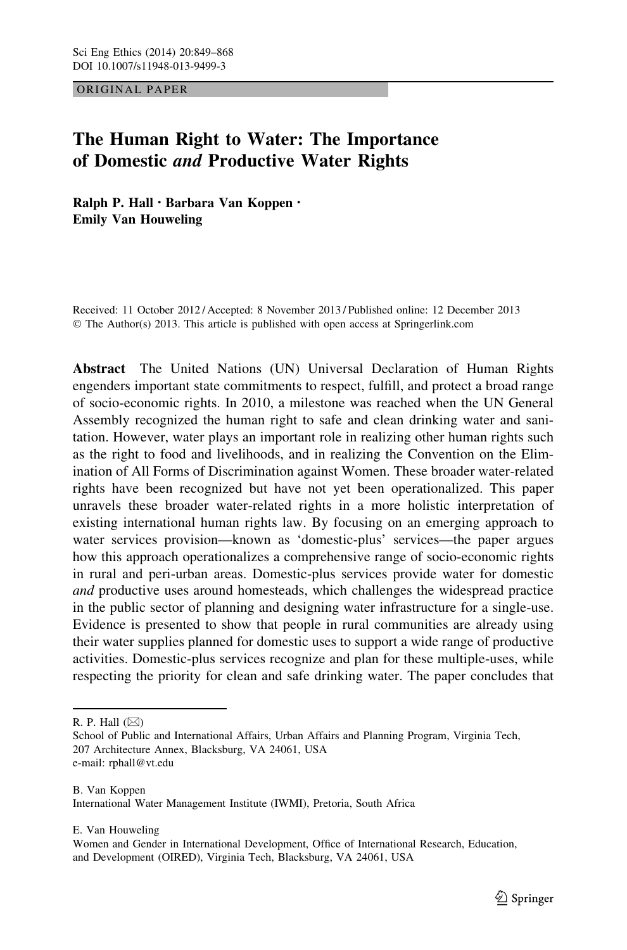ORIGINAL PAPER

# The Human Right to Water: The Importance of Domestic and Productive Water Rights

Ralph P. Hall • Barbara Van Koppen • Emily Van Houweling

Received: 11 October 2012 / Accepted: 8 November 2013 / Published online: 12 December 2013 © The Author(s) 2013. This article is published with open access at Springerlink.com

Abstract The United Nations (UN) Universal Declaration of Human Rights engenders important state commitments to respect, fulfill, and protect a broad range of socio-economic rights. In 2010, a milestone was reached when the UN General Assembly recognized the human right to safe and clean drinking water and sanitation. However, water plays an important role in realizing other human rights such as the right to food and livelihoods, and in realizing the Convention on the Elimination of All Forms of Discrimination against Women. These broader water-related rights have been recognized but have not yet been operationalized. This paper unravels these broader water-related rights in a more holistic interpretation of existing international human rights law. By focusing on an emerging approach to water services provision—known as 'domestic-plus' services—the paper argues how this approach operationalizes a comprehensive range of socio-economic rights in rural and peri-urban areas. Domestic-plus services provide water for domestic and productive uses around homesteads, which challenges the widespread practice in the public sector of planning and designing water infrastructure for a single-use. Evidence is presented to show that people in rural communities are already using their water supplies planned for domestic uses to support a wide range of productive activities. Domestic-plus services recognize and plan for these multiple-uses, while respecting the priority for clean and safe drinking water. The paper concludes that

R. P. Hall  $(\boxtimes)$ 

E. Van Houweling

School of Public and International Affairs, Urban Affairs and Planning Program, Virginia Tech, 207 Architecture Annex, Blacksburg, VA 24061, USA e-mail: rphall@vt.edu

B. Van Koppen International Water Management Institute (IWMI), Pretoria, South Africa

Women and Gender in International Development, Office of International Research, Education, and Development (OIRED), Virginia Tech, Blacksburg, VA 24061, USA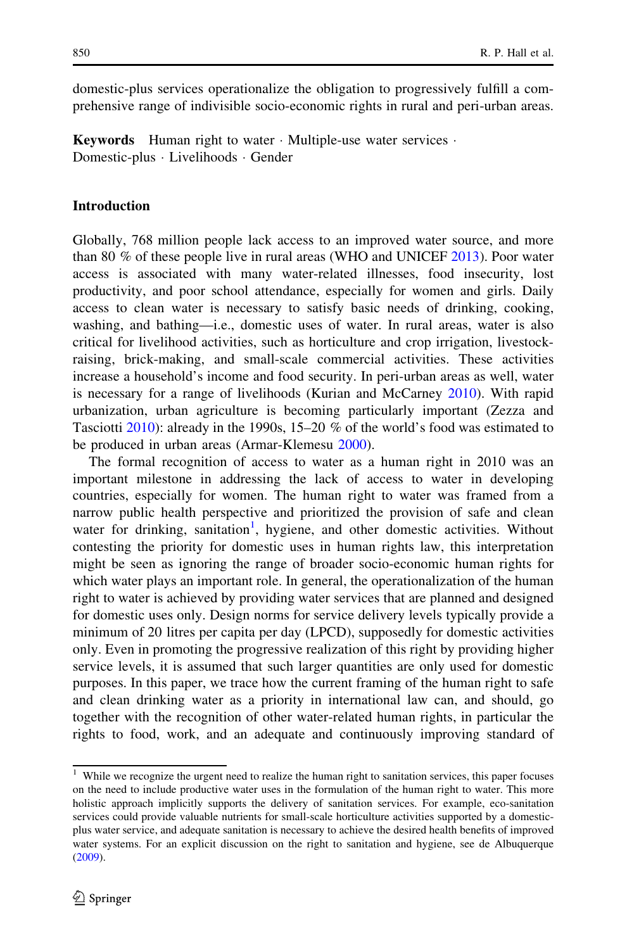domestic-plus services operationalize the obligation to progressively fulfill a comprehensive range of indivisible socio-economic rights in rural and peri-urban areas.

Keywords Human right to water · Multiple-use water services · Domestic-plus - Livelihoods - Gender

#### Introduction

Globally, 768 million people lack access to an improved water source, and more than 80 % of these people live in rural areas (WHO and UNICEF [2013](#page-19-0)). Poor water access is associated with many water-related illnesses, food insecurity, lost productivity, and poor school attendance, especially for women and girls. Daily access to clean water is necessary to satisfy basic needs of drinking, cooking, washing, and bathing—i.e., domestic uses of water. In rural areas, water is also critical for livelihood activities, such as horticulture and crop irrigation, livestockraising, brick-making, and small-scale commercial activities. These activities increase a household's income and food security. In peri-urban areas as well, water is necessary for a range of livelihoods (Kurian and McCarney [2010](#page-17-0)). With rapid urbanization, urban agriculture is becoming particularly important (Zezza and Tasciotti [2010\)](#page-19-0): already in the 1990s, 15–20 % of the world's food was estimated to be produced in urban areas (Armar-Klemesu [2000](#page-16-0)).

The formal recognition of access to water as a human right in 2010 was an important milestone in addressing the lack of access to water in developing countries, especially for women. The human right to water was framed from a narrow public health perspective and prioritized the provision of safe and clean water for drinking, sanitation<sup>1</sup>, hygiene, and other domestic activities. Without contesting the priority for domestic uses in human rights law, this interpretation might be seen as ignoring the range of broader socio-economic human rights for which water plays an important role. In general, the operationalization of the human right to water is achieved by providing water services that are planned and designed for domestic uses only. Design norms for service delivery levels typically provide a minimum of 20 litres per capita per day (LPCD), supposedly for domestic activities only. Even in promoting the progressive realization of this right by providing higher service levels, it is assumed that such larger quantities are only used for domestic purposes. In this paper, we trace how the current framing of the human right to safe and clean drinking water as a priority in international law can, and should, go together with the recognition of other water-related human rights, in particular the rights to food, work, and an adequate and continuously improving standard of

<sup>&</sup>lt;sup>1</sup> While we recognize the urgent need to realize the human right to sanitation services, this paper focuses on the need to include productive water uses in the formulation of the human right to water. This more holistic approach implicitly supports the delivery of sanitation services. For example, eco-sanitation services could provide valuable nutrients for small-scale horticulture activities supported by a domesticplus water service, and adequate sanitation is necessary to achieve the desired health benefits of improved water systems. For an explicit discussion on the right to sanitation and hygiene, see de Albuquerque ([2009\)](#page-16-0).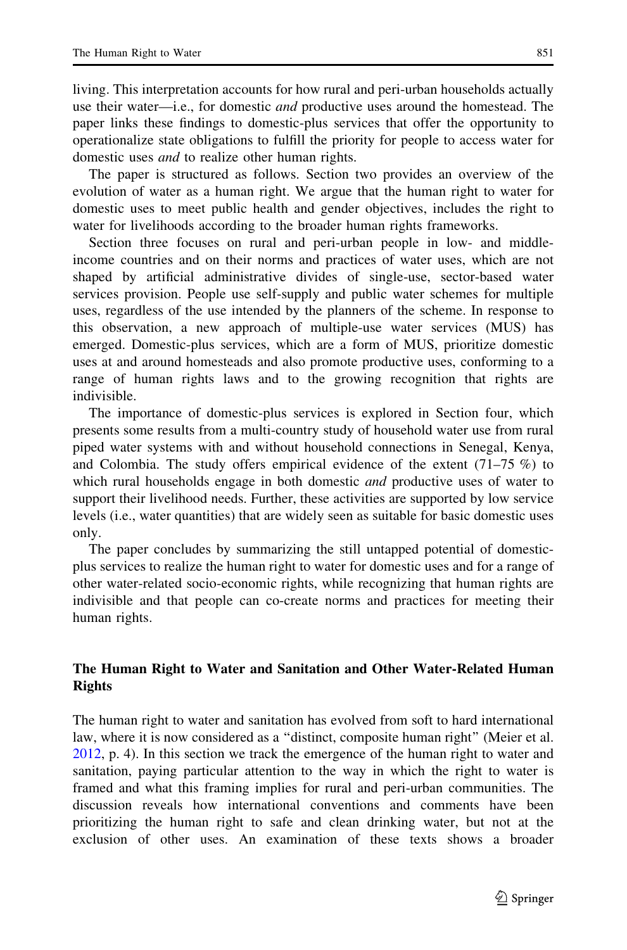living. This interpretation accounts for how rural and peri-urban households actually use their water—i.e., for domestic *and* productive uses around the homestead. The paper links these findings to domestic-plus services that offer the opportunity to operationalize state obligations to fulfill the priority for people to access water for domestic uses and to realize other human rights.

The paper is structured as follows. Section two provides an overview of the evolution of water as a human right. We argue that the human right to water for domestic uses to meet public health and gender objectives, includes the right to water for livelihoods according to the broader human rights frameworks.

Section three focuses on rural and peri-urban people in low- and middleincome countries and on their norms and practices of water uses, which are not shaped by artificial administrative divides of single-use, sector-based water services provision. People use self-supply and public water schemes for multiple uses, regardless of the use intended by the planners of the scheme. In response to this observation, a new approach of multiple-use water services (MUS) has emerged. Domestic-plus services, which are a form of MUS, prioritize domestic uses at and around homesteads and also promote productive uses, conforming to a range of human rights laws and to the growing recognition that rights are indivisible.

The importance of domestic-plus services is explored in Section four, which presents some results from a multi-country study of household water use from rural piped water systems with and without household connections in Senegal, Kenya, and Colombia. The study offers empirical evidence of the extent  $(71–75\%)$  to which rural households engage in both domestic *and* productive uses of water to support their livelihood needs. Further, these activities are supported by low service levels (i.e., water quantities) that are widely seen as suitable for basic domestic uses only.

The paper concludes by summarizing the still untapped potential of domesticplus services to realize the human right to water for domestic uses and for a range of other water-related socio-economic rights, while recognizing that human rights are indivisible and that people can co-create norms and practices for meeting their human rights.

# The Human Right to Water and Sanitation and Other Water-Related Human Rights

The human right to water and sanitation has evolved from soft to hard international law, where it is now considered as a ''distinct, composite human right'' (Meier et al. [2012,](#page-17-0) p. 4). In this section we track the emergence of the human right to water and sanitation, paying particular attention to the way in which the right to water is framed and what this framing implies for rural and peri-urban communities. The discussion reveals how international conventions and comments have been prioritizing the human right to safe and clean drinking water, but not at the exclusion of other uses. An examination of these texts shows a broader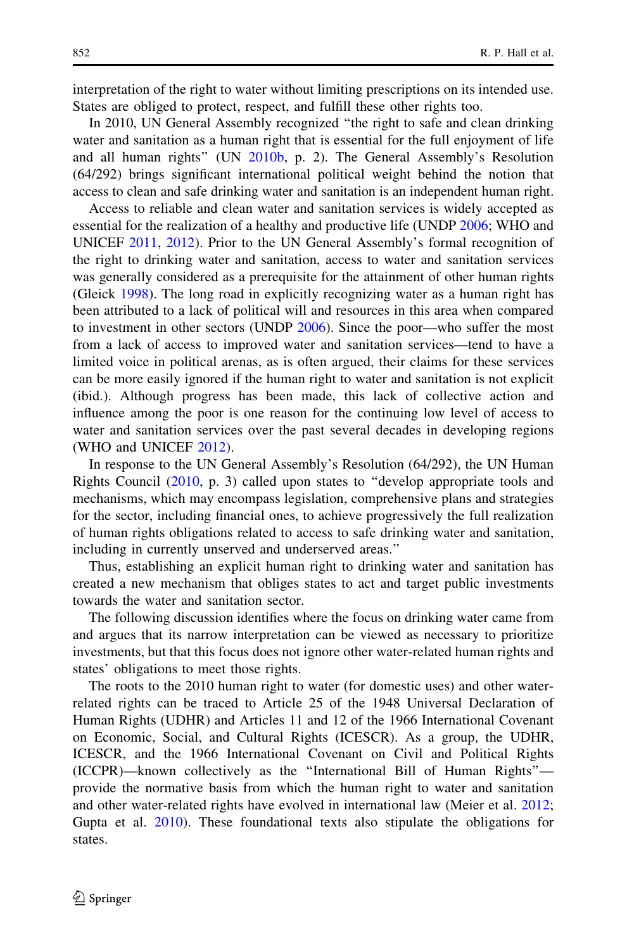interpretation of the right to water without limiting prescriptions on its intended use. States are obliged to protect, respect, and fulfill these other rights too.

In 2010, UN General Assembly recognized ''the right to safe and clean drinking water and sanitation as a human right that is essential for the full enjoyment of life and all human rights'' (UN [2010b](#page-18-0), p. 2). The General Assembly's Resolution (64/292) brings significant international political weight behind the notion that access to clean and safe drinking water and sanitation is an independent human right.

Access to reliable and clean water and sanitation services is widely accepted as essential for the realization of a healthy and productive life (UNDP [2006](#page-18-0); WHO and UNICEF [2011,](#page-18-0) [2012\)](#page-18-0). Prior to the UN General Assembly's formal recognition of the right to drinking water and sanitation, access to water and sanitation services was generally considered as a prerequisite for the attainment of other human rights (Gleick [1998](#page-17-0)). The long road in explicitly recognizing water as a human right has been attributed to a lack of political will and resources in this area when compared to investment in other sectors (UNDP [2006](#page-18-0)). Since the poor—who suffer the most from a lack of access to improved water and sanitation services—tend to have a limited voice in political arenas, as is often argued, their claims for these services can be more easily ignored if the human right to water and sanitation is not explicit (ibid.). Although progress has been made, this lack of collective action and influence among the poor is one reason for the continuing low level of access to water and sanitation services over the past several decades in developing regions (WHO and UNICEF [2012\)](#page-18-0).

In response to the UN General Assembly's Resolution (64/292), the UN Human Rights Council ([2010,](#page-18-0) p. 3) called upon states to ''develop appropriate tools and mechanisms, which may encompass legislation, comprehensive plans and strategies for the sector, including financial ones, to achieve progressively the full realization of human rights obligations related to access to safe drinking water and sanitation, including in currently unserved and underserved areas.''

Thus, establishing an explicit human right to drinking water and sanitation has created a new mechanism that obliges states to act and target public investments towards the water and sanitation sector.

The following discussion identifies where the focus on drinking water came from and argues that its narrow interpretation can be viewed as necessary to prioritize investments, but that this focus does not ignore other water-related human rights and states' obligations to meet those rights.

The roots to the 2010 human right to water (for domestic uses) and other waterrelated rights can be traced to Article 25 of the 1948 Universal Declaration of Human Rights (UDHR) and Articles 11 and 12 of the 1966 International Covenant on Economic, Social, and Cultural Rights (ICESCR). As a group, the UDHR, ICESCR, and the 1966 International Covenant on Civil and Political Rights (ICCPR)—known collectively as the ''International Bill of Human Rights'' provide the normative basis from which the human right to water and sanitation and other water-related rights have evolved in international law (Meier et al. [2012;](#page-17-0) Gupta et al. [2010](#page-17-0)). These foundational texts also stipulate the obligations for states.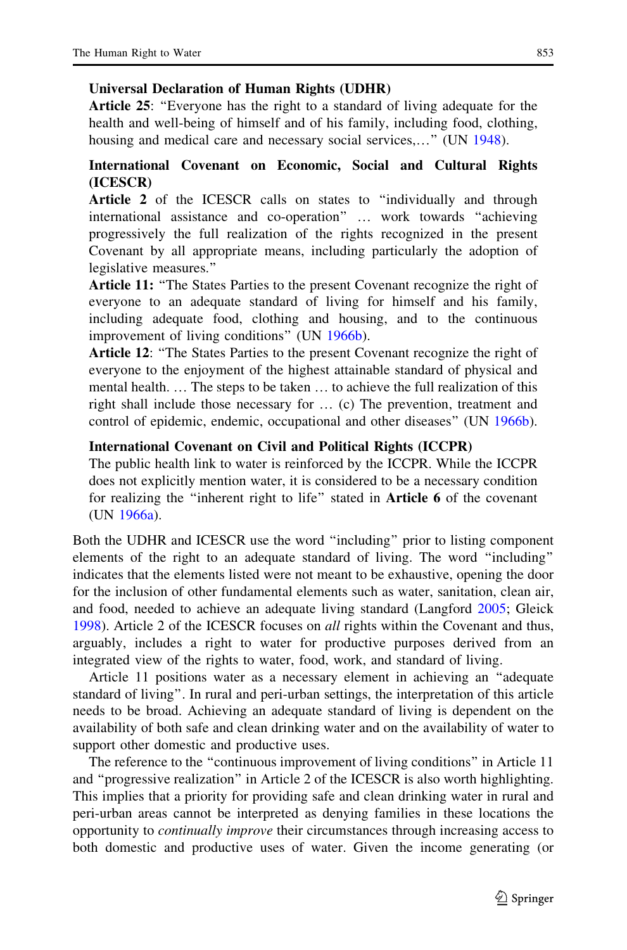### Universal Declaration of Human Rights (UDHR)

Article 25: "Everyone has the right to a standard of living adequate for the health and well-being of himself and of his family, including food, clothing, housing and medical care and necessary social services,..." (UN [1948](#page-17-0)).

## International Covenant on Economic, Social and Cultural Rights (ICESCR)

Article 2 of the ICESCR calls on states to "individually and through international assistance and co-operation'' … work towards ''achieving progressively the full realization of the rights recognized in the present Covenant by all appropriate means, including particularly the adoption of legislative measures.''

Article 11: "The States Parties to the present Covenant recognize the right of everyone to an adequate standard of living for himself and his family, including adequate food, clothing and housing, and to the continuous improvement of living conditions" (UN [1966b\)](#page-17-0).

Article 12: "The States Parties to the present Covenant recognize the right of everyone to the enjoyment of the highest attainable standard of physical and mental health. … The steps to be taken … to achieve the full realization of this right shall include those necessary for … (c) The prevention, treatment and control of epidemic, endemic, occupational and other diseases'' (UN [1966b](#page-17-0)).

### International Covenant on Civil and Political Rights (ICCPR)

The public health link to water is reinforced by the ICCPR. While the ICCPR does not explicitly mention water, it is considered to be a necessary condition for realizing the ''inherent right to life'' stated in Article 6 of the covenant (UN [1966a\)](#page-17-0).

Both the UDHR and ICESCR use the word ''including'' prior to listing component elements of the right to an adequate standard of living. The word ''including'' indicates that the elements listed were not meant to be exhaustive, opening the door for the inclusion of other fundamental elements such as water, sanitation, clean air, and food, needed to achieve an adequate living standard (Langford [2005;](#page-17-0) Gleick [1998\)](#page-17-0). Article 2 of the ICESCR focuses on all rights within the Covenant and thus, arguably, includes a right to water for productive purposes derived from an integrated view of the rights to water, food, work, and standard of living.

Article 11 positions water as a necessary element in achieving an ''adequate standard of living''. In rural and peri-urban settings, the interpretation of this article needs to be broad. Achieving an adequate standard of living is dependent on the availability of both safe and clean drinking water and on the availability of water to support other domestic and productive uses.

The reference to the "continuous improvement of living conditions" in Article 11 and ''progressive realization'' in Article 2 of the ICESCR is also worth highlighting. This implies that a priority for providing safe and clean drinking water in rural and peri-urban areas cannot be interpreted as denying families in these locations the opportunity to continually improve their circumstances through increasing access to both domestic and productive uses of water. Given the income generating (or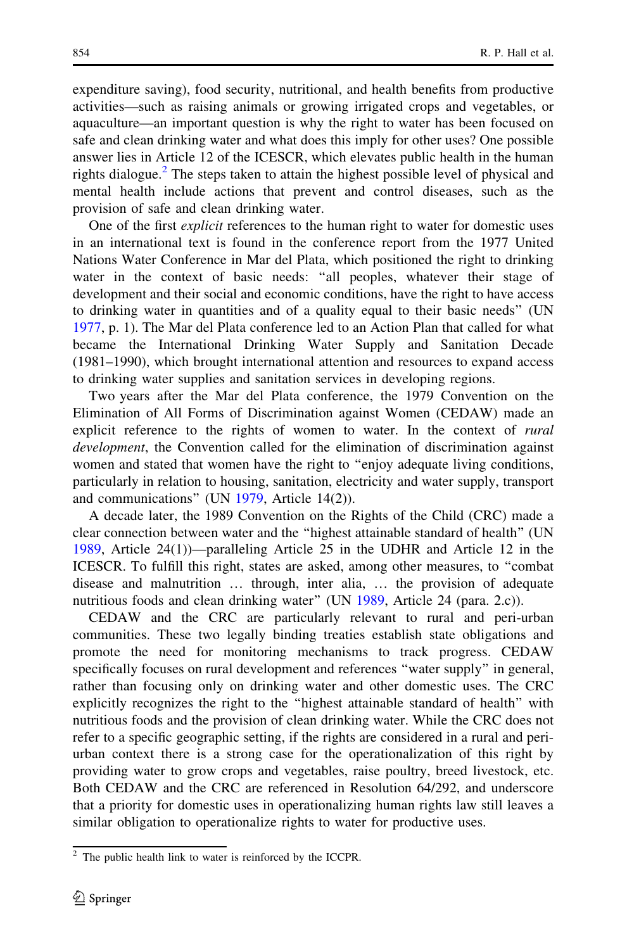expenditure saving), food security, nutritional, and health benefits from productive activities—such as raising animals or growing irrigated crops and vegetables, or aquaculture—an important question is why the right to water has been focused on safe and clean drinking water and what does this imply for other uses? One possible answer lies in Article 12 of the ICESCR, which elevates public health in the human rights dialogue.<sup>2</sup> The steps taken to attain the highest possible level of physical and mental health include actions that prevent and control diseases, such as the provision of safe and clean drinking water.

One of the first *explicit* references to the human right to water for domestic uses in an international text is found in the conference report from the 1977 United Nations Water Conference in Mar del Plata, which positioned the right to drinking water in the context of basic needs: "all peoples, whatever their stage of development and their social and economic conditions, have the right to have access to drinking water in quantities and of a quality equal to their basic needs'' (UN [1977,](#page-17-0) p. 1). The Mar del Plata conference led to an Action Plan that called for what became the International Drinking Water Supply and Sanitation Decade (1981–1990), which brought international attention and resources to expand access to drinking water supplies and sanitation services in developing regions.

Two years after the Mar del Plata conference, the 1979 Convention on the Elimination of All Forms of Discrimination against Women (CEDAW) made an explicit reference to the rights of women to water. In the context of *rural* development, the Convention called for the elimination of discrimination against women and stated that women have the right to "enjoy adequate living conditions, particularly in relation to housing, sanitation, electricity and water supply, transport and communications'' (UN [1979,](#page-18-0) Article 14(2)).

A decade later, the 1989 Convention on the Rights of the Child (CRC) made a clear connection between water and the ''highest attainable standard of health'' (UN [1989,](#page-18-0) Article 24(1))—paralleling Article 25 in the UDHR and Article 12 in the ICESCR. To fulfill this right, states are asked, among other measures, to ''combat disease and malnutrition … through, inter alia, … the provision of adequate nutritious foods and clean drinking water" (UN [1989,](#page-18-0) Article 24 (para. 2.c)).

CEDAW and the CRC are particularly relevant to rural and peri-urban communities. These two legally binding treaties establish state obligations and promote the need for monitoring mechanisms to track progress. CEDAW specifically focuses on rural development and references ''water supply'' in general, rather than focusing only on drinking water and other domestic uses. The CRC explicitly recognizes the right to the ''highest attainable standard of health'' with nutritious foods and the provision of clean drinking water. While the CRC does not refer to a specific geographic setting, if the rights are considered in a rural and periurban context there is a strong case for the operationalization of this right by providing water to grow crops and vegetables, raise poultry, breed livestock, etc. Both CEDAW and the CRC are referenced in Resolution 64/292, and underscore that a priority for domestic uses in operationalizing human rights law still leaves a similar obligation to operationalize rights to water for productive uses.

 $2$  The public health link to water is reinforced by the ICCPR.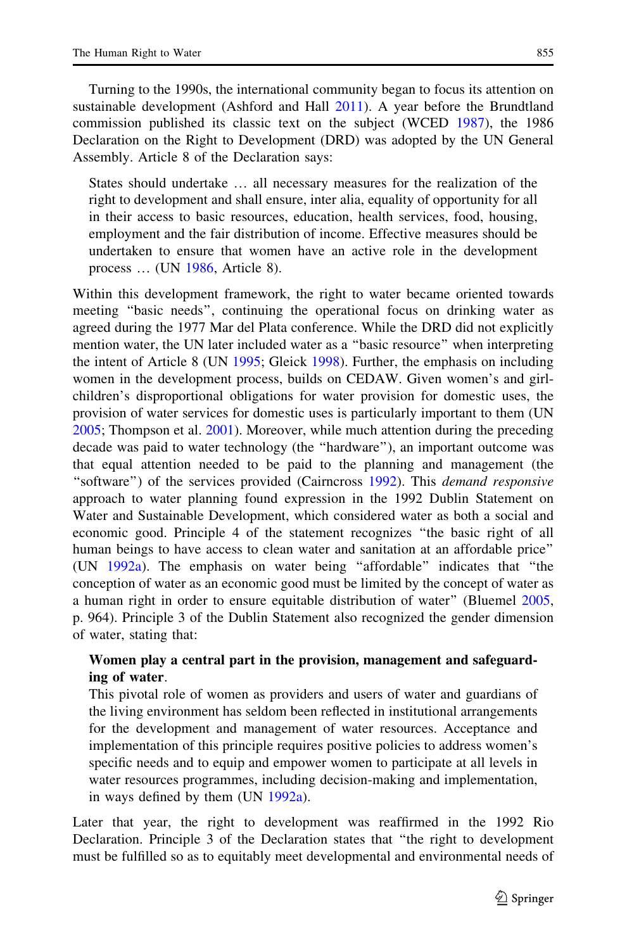Turning to the 1990s, the international community began to focus its attention on sustainable development (Ashford and Hall [2011](#page-16-0)). A year before the Brundtland commission published its classic text on the subject (WCED [1987\)](#page-18-0), the 1986 Declaration on the Right to Development (DRD) was adopted by the UN General Assembly. Article 8 of the Declaration says:

States should undertake … all necessary measures for the realization of the right to development and shall ensure, inter alia, equality of opportunity for all in their access to basic resources, education, health services, food, housing, employment and the fair distribution of income. Effective measures should be undertaken to ensure that women have an active role in the development process … (UN [1986,](#page-18-0) Article 8).

Within this development framework, the right to water became oriented towards meeting ''basic needs'', continuing the operational focus on drinking water as agreed during the 1977 Mar del Plata conference. While the DRD did not explicitly mention water, the UN later included water as a ''basic resource'' when interpreting the intent of Article 8 (UN [1995;](#page-18-0) Gleick [1998](#page-17-0)). Further, the emphasis on including women in the development process, builds on CEDAW. Given women's and girlchildren's disproportional obligations for water provision for domestic uses, the provision of water services for domestic uses is particularly important to them (UN [2005;](#page-18-0) Thompson et al. [2001](#page-17-0)). Moreover, while much attention during the preceding decade was paid to water technology (the ''hardware''), an important outcome was that equal attention needed to be paid to the planning and management (the "software") of the services provided (Cairncross [1992](#page-16-0)). This *demand responsive* approach to water planning found expression in the 1992 Dublin Statement on Water and Sustainable Development, which considered water as both a social and economic good. Principle 4 of the statement recognizes ''the basic right of all human beings to have access to clean water and sanitation at an affordable price'' (UN [1992a](#page-18-0)). The emphasis on water being ''affordable'' indicates that ''the conception of water as an economic good must be limited by the concept of water as a human right in order to ensure equitable distribution of water'' (Bluemel [2005,](#page-16-0) p. 964). Principle 3 of the Dublin Statement also recognized the gender dimension of water, stating that:

### Women play a central part in the provision, management and safeguarding of water.

This pivotal role of women as providers and users of water and guardians of the living environment has seldom been reflected in institutional arrangements for the development and management of water resources. Acceptance and implementation of this principle requires positive policies to address women's specific needs and to equip and empower women to participate at all levels in water resources programmes, including decision-making and implementation, in ways defined by them (UN [1992a](#page-18-0)).

Later that year, the right to development was reaffirmed in the 1992 Rio Declaration. Principle 3 of the Declaration states that ''the right to development must be fulfilled so as to equitably meet developmental and environmental needs of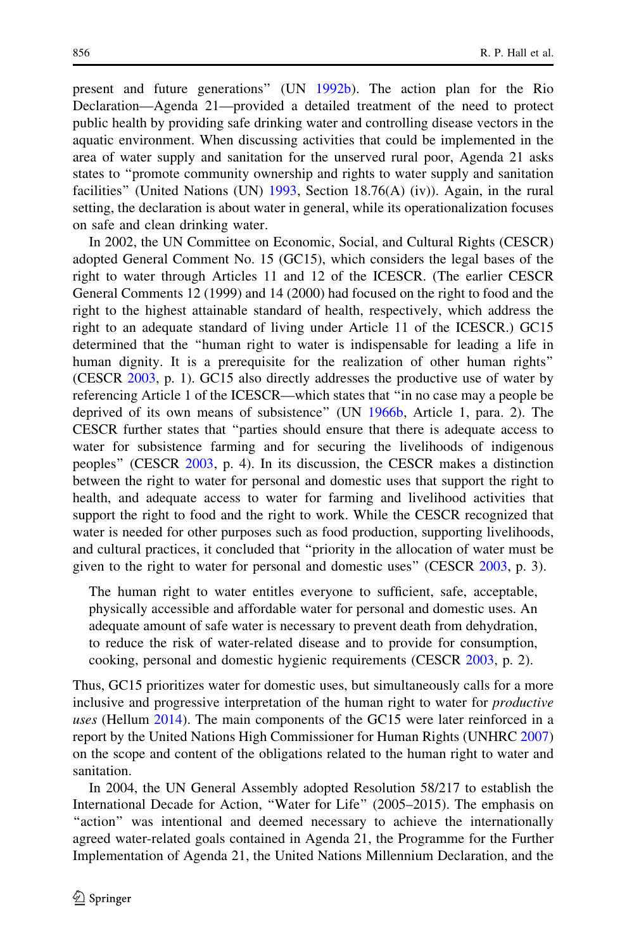present and future generations'' (UN [1992b](#page-18-0)). The action plan for the Rio Declaration—Agenda 21—provided a detailed treatment of the need to protect public health by providing safe drinking water and controlling disease vectors in the aquatic environment. When discussing activities that could be implemented in the area of water supply and sanitation for the unserved rural poor, Agenda 21 asks states to ''promote community ownership and rights to water supply and sanitation facilities" (United Nations (UN)  $1993$ , Section 18.76(A) (iv)). Again, in the rural setting, the declaration is about water in general, while its operationalization focuses on safe and clean drinking water.

In 2002, the UN Committee on Economic, Social, and Cultural Rights (CESCR) adopted General Comment No. 15 (GC15), which considers the legal bases of the right to water through Articles 11 and 12 of the ICESCR. (The earlier CESCR General Comments 12 (1999) and 14 (2000) had focused on the right to food and the right to the highest attainable standard of health, respectively, which address the right to an adequate standard of living under Article 11 of the ICESCR.) GC15 determined that the ''human right to water is indispensable for leading a life in human dignity. It is a prerequisite for the realization of other human rights'' (CESCR [2003](#page-16-0), p. 1). GC15 also directly addresses the productive use of water by referencing Article 1 of the ICESCR—which states that ''in no case may a people be deprived of its own means of subsistence'' (UN [1966b,](#page-17-0) Article 1, para. 2). The CESCR further states that ''parties should ensure that there is adequate access to water for subsistence farming and for securing the livelihoods of indigenous peoples'' (CESCR [2003,](#page-16-0) p. 4). In its discussion, the CESCR makes a distinction between the right to water for personal and domestic uses that support the right to health, and adequate access to water for farming and livelihood activities that support the right to food and the right to work. While the CESCR recognized that water is needed for other purposes such as food production, supporting livelihoods, and cultural practices, it concluded that ''priority in the allocation of water must be given to the right to water for personal and domestic uses'' (CESCR [2003,](#page-16-0) p. 3).

The human right to water entitles everyone to sufficient, safe, acceptable, physically accessible and affordable water for personal and domestic uses. An adequate amount of safe water is necessary to prevent death from dehydration, to reduce the risk of water-related disease and to provide for consumption, cooking, personal and domestic hygienic requirements (CESCR [2003,](#page-16-0) p. 2).

Thus, GC15 prioritizes water for domestic uses, but simultaneously calls for a more inclusive and progressive interpretation of the human right to water for productive uses (Hellum [2014\)](#page-17-0). The main components of the GC15 were later reinforced in a report by the United Nations High Commissioner for Human Rights (UNHRC [2007](#page-18-0)) on the scope and content of the obligations related to the human right to water and sanitation.

In 2004, the UN General Assembly adopted Resolution 58/217 to establish the International Decade for Action, ''Water for Life'' (2005–2015). The emphasis on "action" was intentional and deemed necessary to achieve the internationally agreed water-related goals contained in Agenda 21, the Programme for the Further Implementation of Agenda 21, the United Nations Millennium Declaration, and the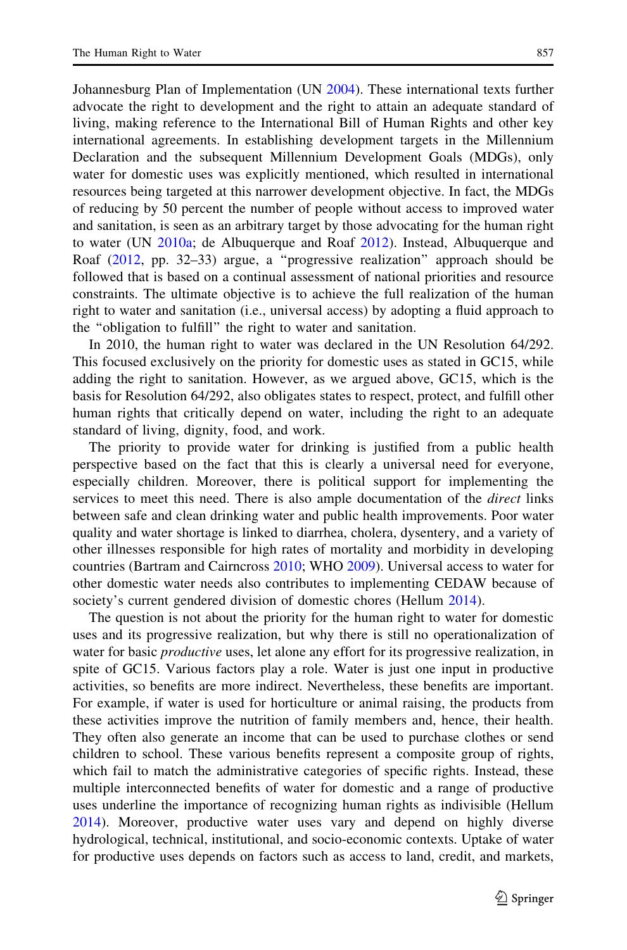Johannesburg Plan of Implementation (UN [2004](#page-18-0)). These international texts further advocate the right to development and the right to attain an adequate standard of living, making reference to the International Bill of Human Rights and other key international agreements. In establishing development targets in the Millennium Declaration and the subsequent Millennium Development Goals (MDGs), only water for domestic uses was explicitly mentioned, which resulted in international resources being targeted at this narrower development objective. In fact, the MDGs of reducing by 50 percent the number of people without access to improved water and sanitation, is seen as an arbitrary target by those advocating for the human right to water (UN [2010a;](#page-18-0) de Albuquerque and Roaf [2012\)](#page-16-0). Instead, Albuquerque and Roaf ([2012,](#page-16-0) pp. 32–33) argue, a ''progressive realization'' approach should be followed that is based on a continual assessment of national priorities and resource constraints. The ultimate objective is to achieve the full realization of the human right to water and sanitation (i.e., universal access) by adopting a fluid approach to the ''obligation to fulfill'' the right to water and sanitation.

In 2010, the human right to water was declared in the UN Resolution 64/292. This focused exclusively on the priority for domestic uses as stated in GC15, while adding the right to sanitation. However, as we argued above, GC15, which is the basis for Resolution 64/292, also obligates states to respect, protect, and fulfill other human rights that critically depend on water, including the right to an adequate standard of living, dignity, food, and work.

The priority to provide water for drinking is justified from a public health perspective based on the fact that this is clearly a universal need for everyone, especially children. Moreover, there is political support for implementing the services to meet this need. There is also ample documentation of the *direct* links between safe and clean drinking water and public health improvements. Poor water quality and water shortage is linked to diarrhea, cholera, dysentery, and a variety of other illnesses responsible for high rates of mortality and morbidity in developing countries (Bartram and Cairncross [2010;](#page-16-0) WHO [2009](#page-18-0)). Universal access to water for other domestic water needs also contributes to implementing CEDAW because of society's current gendered division of domestic chores (Hellum [2014](#page-17-0)).

The question is not about the priority for the human right to water for domestic uses and its progressive realization, but why there is still no operationalization of water for basic *productive* uses, let alone any effort for its progressive realization, in spite of GC15. Various factors play a role. Water is just one input in productive activities, so benefits are more indirect. Nevertheless, these benefits are important. For example, if water is used for horticulture or animal raising, the products from these activities improve the nutrition of family members and, hence, their health. They often also generate an income that can be used to purchase clothes or send children to school. These various benefits represent a composite group of rights, which fail to match the administrative categories of specific rights. Instead, these multiple interconnected benefits of water for domestic and a range of productive uses underline the importance of recognizing human rights as indivisible (Hellum [2014\)](#page-17-0). Moreover, productive water uses vary and depend on highly diverse hydrological, technical, institutional, and socio-economic contexts. Uptake of water for productive uses depends on factors such as access to land, credit, and markets,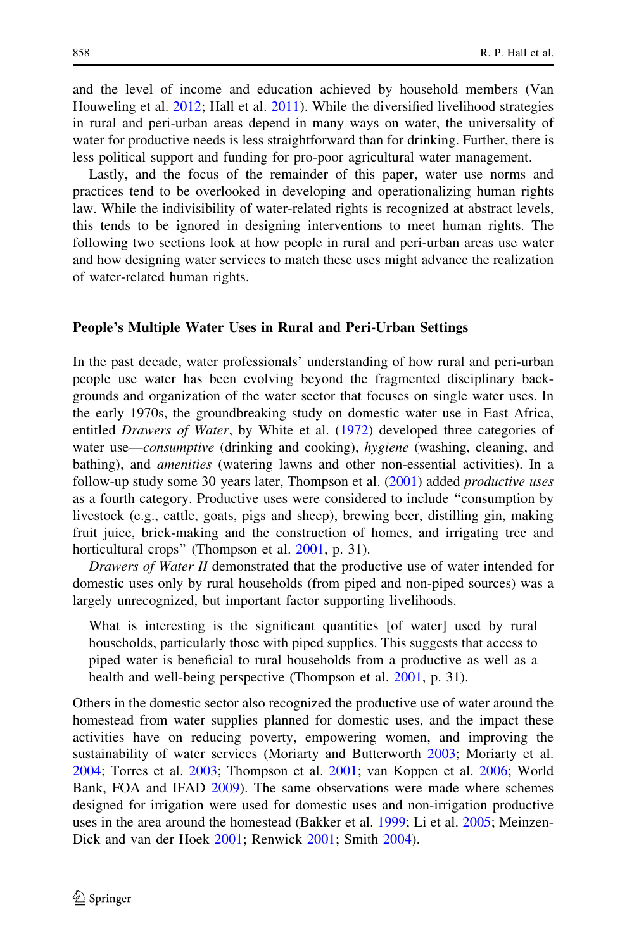and the level of income and education achieved by household members (Van Houweling et al. [2012](#page-18-0); Hall et al. [2011](#page-17-0)). While the diversified livelihood strategies in rural and peri-urban areas depend in many ways on water, the universality of water for productive needs is less straightforward than for drinking. Further, there is less political support and funding for pro-poor agricultural water management.

Lastly, and the focus of the remainder of this paper, water use norms and practices tend to be overlooked in developing and operationalizing human rights law. While the indivisibility of water-related rights is recognized at abstract levels, this tends to be ignored in designing interventions to meet human rights. The following two sections look at how people in rural and peri-urban areas use water and how designing water services to match these uses might advance the realization of water-related human rights.

#### People's Multiple Water Uses in Rural and Peri-Urban Settings

In the past decade, water professionals' understanding of how rural and peri-urban people use water has been evolving beyond the fragmented disciplinary backgrounds and organization of the water sector that focuses on single water uses. In the early 1970s, the groundbreaking study on domestic water use in East Africa, entitled *Drawers of Water*, by White et al. [\(1972](#page-18-0)) developed three categories of water use—*consumptive* (drinking and cooking), *hygiene* (washing, cleaning, and bathing), and *amenities* (watering lawns and other non-essential activities). In a follow-up study some 30 years later, Thompson et al. ([2001\)](#page-17-0) added *productive uses* as a fourth category. Productive uses were considered to include ''consumption by livestock (e.g., cattle, goats, pigs and sheep), brewing beer, distilling gin, making fruit juice, brick-making and the construction of homes, and irrigating tree and horticultural crops" (Thompson et al. [2001](#page-17-0), p. 31).

Drawers of Water II demonstrated that the productive use of water intended for domestic uses only by rural households (from piped and non-piped sources) was a largely unrecognized, but important factor supporting livelihoods.

What is interesting is the significant quantities [of water] used by rural households, particularly those with piped supplies. This suggests that access to piped water is beneficial to rural households from a productive as well as a health and well-being perspective (Thompson et al. [2001](#page-17-0), p. 31).

Others in the domestic sector also recognized the productive use of water around the homestead from water supplies planned for domestic uses, and the impact these activities have on reducing poverty, empowering women, and improving the sustainability of water services (Moriarty and Butterworth [2003;](#page-17-0) Moriarty et al. [2004;](#page-17-0) Torres et al. [2003;](#page-17-0) Thompson et al. [2001;](#page-17-0) van Koppen et al. [2006](#page-18-0); World Bank, FOA and IFAD [2009](#page-18-0)). The same observations were made where schemes designed for irrigation were used for domestic uses and non-irrigation productive uses in the area around the homestead (Bakker et al. [1999;](#page-16-0) Li et al. [2005](#page-17-0); Meinzen-Dick and van der Hoek [2001](#page-17-0); Renwick [2001](#page-17-0); Smith [2004\)](#page-17-0).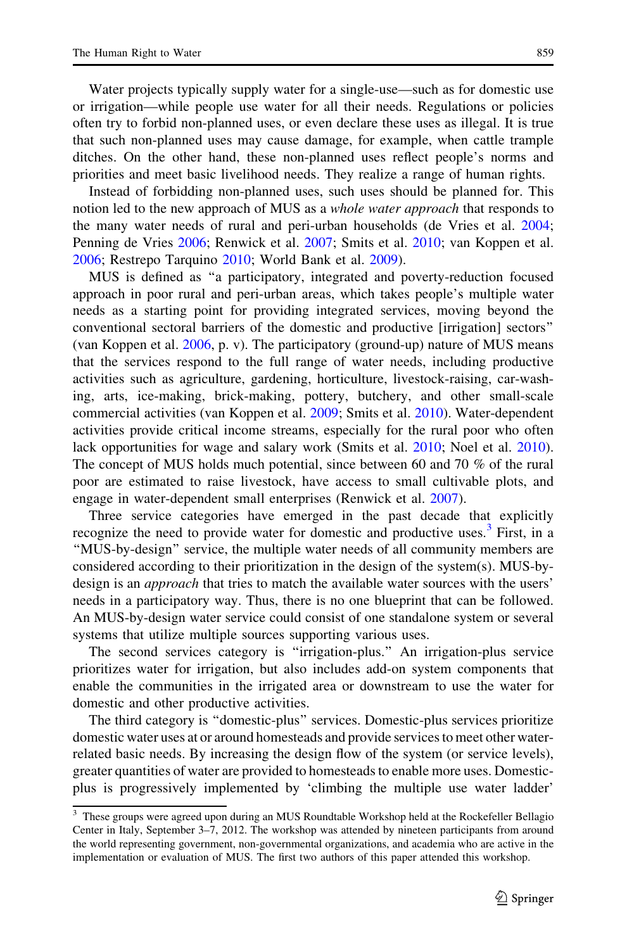Water projects typically supply water for a single-use—such as for domestic use or irrigation—while people use water for all their needs. Regulations or policies often try to forbid non-planned uses, or even declare these uses as illegal. It is true that such non-planned uses may cause damage, for example, when cattle trample ditches. On the other hand, these non-planned uses reflect people's norms and priorities and meet basic livelihood needs. They realize a range of human rights.

Instead of forbidding non-planned uses, such uses should be planned for. This notion led to the new approach of MUS as a *whole water approach* that responds to the many water needs of rural and peri-urban households (de Vries et al. [2004;](#page-16-0) Penning de Vries [2006;](#page-17-0) Renwick et al. [2007](#page-17-0); Smits et al. [2010](#page-17-0); van Koppen et al. [2006;](#page-18-0) Restrepo Tarquino [2010;](#page-17-0) World Bank et al. [2009](#page-18-0)).

MUS is defined as ''a participatory, integrated and poverty-reduction focused approach in poor rural and peri-urban areas, which takes people's multiple water needs as a starting point for providing integrated services, moving beyond the conventional sectoral barriers of the domestic and productive [irrigation] sectors'' (van Koppen et al.  $2006$ , p. v). The participatory (ground-up) nature of MUS means that the services respond to the full range of water needs, including productive activities such as agriculture, gardening, horticulture, livestock-raising, car-washing, arts, ice-making, brick-making, pottery, butchery, and other small-scale commercial activities (van Koppen et al. [2009](#page-18-0); Smits et al. [2010\)](#page-17-0). Water-dependent activities provide critical income streams, especially for the rural poor who often lack opportunities for wage and salary work (Smits et al. [2010;](#page-17-0) Noel et al. [2010\)](#page-17-0). The concept of MUS holds much potential, since between 60 and 70 % of the rural poor are estimated to raise livestock, have access to small cultivable plots, and engage in water-dependent small enterprises (Renwick et al. [2007\)](#page-17-0).

Three service categories have emerged in the past decade that explicitly recognize the need to provide water for domestic and productive uses.<sup>3</sup> First, in a ''MUS-by-design'' service, the multiple water needs of all community members are considered according to their prioritization in the design of the system(s). MUS-bydesign is an *approach* that tries to match the available water sources with the users' needs in a participatory way. Thus, there is no one blueprint that can be followed. An MUS-by-design water service could consist of one standalone system or several systems that utilize multiple sources supporting various uses.

The second services category is ''irrigation-plus.'' An irrigation-plus service prioritizes water for irrigation, but also includes add-on system components that enable the communities in the irrigated area or downstream to use the water for domestic and other productive activities.

The third category is ''domestic-plus'' services. Domestic-plus services prioritize domestic water uses at or around homesteads and provide services to meet other waterrelated basic needs. By increasing the design flow of the system (or service levels), greater quantities of water are provided to homesteads to enable more uses. Domesticplus is progressively implemented by 'climbing the multiple use water ladder'

<sup>&</sup>lt;sup>3</sup> These groups were agreed upon during an MUS Roundtable Workshop held at the Rockefeller Bellagio Center in Italy, September 3–7, 2012. The workshop was attended by nineteen participants from around the world representing government, non-governmental organizations, and academia who are active in the implementation or evaluation of MUS. The first two authors of this paper attended this workshop.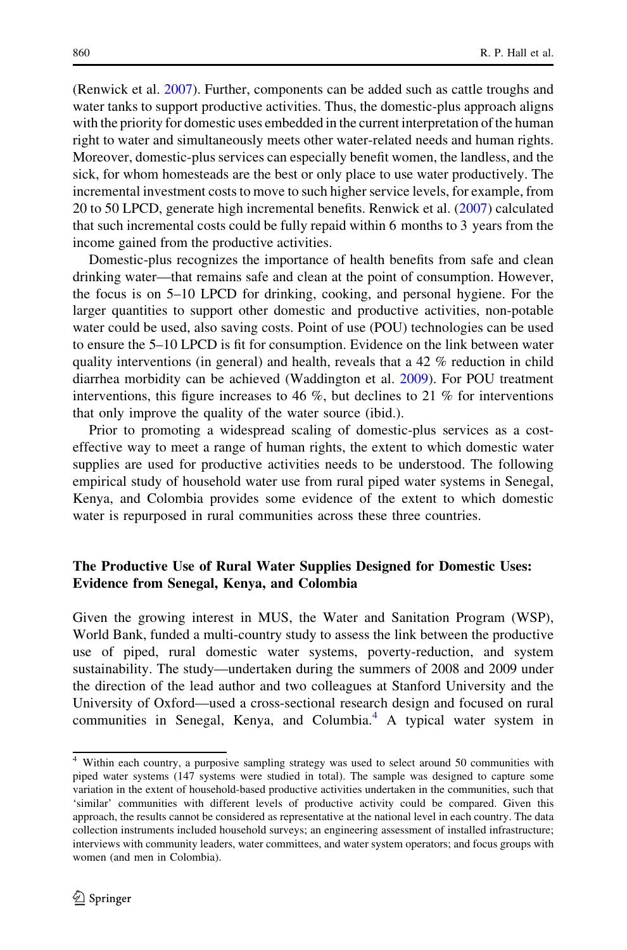(Renwick et al. [2007](#page-17-0)). Further, components can be added such as cattle troughs and water tanks to support productive activities. Thus, the domestic-plus approach aligns with the priority for domestic uses embedded in the current interpretation of the human right to water and simultaneously meets other water-related needs and human rights. Moreover, domestic-plus services can especially benefit women, the landless, and the sick, for whom homesteads are the best or only place to use water productively. The incremental investment costs to move to such higher service levels, for example, from 20 to 50 LPCD, generate high incremental benefits. Renwick et al. ([2007\)](#page-17-0) calculated that such incremental costs could be fully repaid within 6 months to 3 years from the income gained from the productive activities.

Domestic-plus recognizes the importance of health benefits from safe and clean drinking water—that remains safe and clean at the point of consumption. However, the focus is on 5–10 LPCD for drinking, cooking, and personal hygiene. For the larger quantities to support other domestic and productive activities, non-potable water could be used, also saving costs. Point of use (POU) technologies can be used to ensure the 5–10 LPCD is fit for consumption. Evidence on the link between water quality interventions (in general) and health, reveals that a  $42\%$  reduction in child diarrhea morbidity can be achieved (Waddington et al. [2009](#page-18-0)). For POU treatment interventions, this figure increases to 46 %, but declines to 21 % for interventions that only improve the quality of the water source (ibid.).

Prior to promoting a widespread scaling of domestic-plus services as a costeffective way to meet a range of human rights, the extent to which domestic water supplies are used for productive activities needs to be understood. The following empirical study of household water use from rural piped water systems in Senegal, Kenya, and Colombia provides some evidence of the extent to which domestic water is repurposed in rural communities across these three countries.

### The Productive Use of Rural Water Supplies Designed for Domestic Uses: Evidence from Senegal, Kenya, and Colombia

Given the growing interest in MUS, the Water and Sanitation Program (WSP), World Bank, funded a multi-country study to assess the link between the productive use of piped, rural domestic water systems, poverty-reduction, and system sustainability. The study—undertaken during the summers of 2008 and 2009 under the direction of the lead author and two colleagues at Stanford University and the University of Oxford—used a cross-sectional research design and focused on rural communities in Senegal, Kenya, and Columbia.<sup>4</sup> A typical water system in

<sup>&</sup>lt;sup>4</sup> Within each country, a purposive sampling strategy was used to select around 50 communities with piped water systems (147 systems were studied in total). The sample was designed to capture some variation in the extent of household-based productive activities undertaken in the communities, such that 'similar' communities with different levels of productive activity could be compared. Given this approach, the results cannot be considered as representative at the national level in each country. The data collection instruments included household surveys; an engineering assessment of installed infrastructure; interviews with community leaders, water committees, and water system operators; and focus groups with women (and men in Colombia).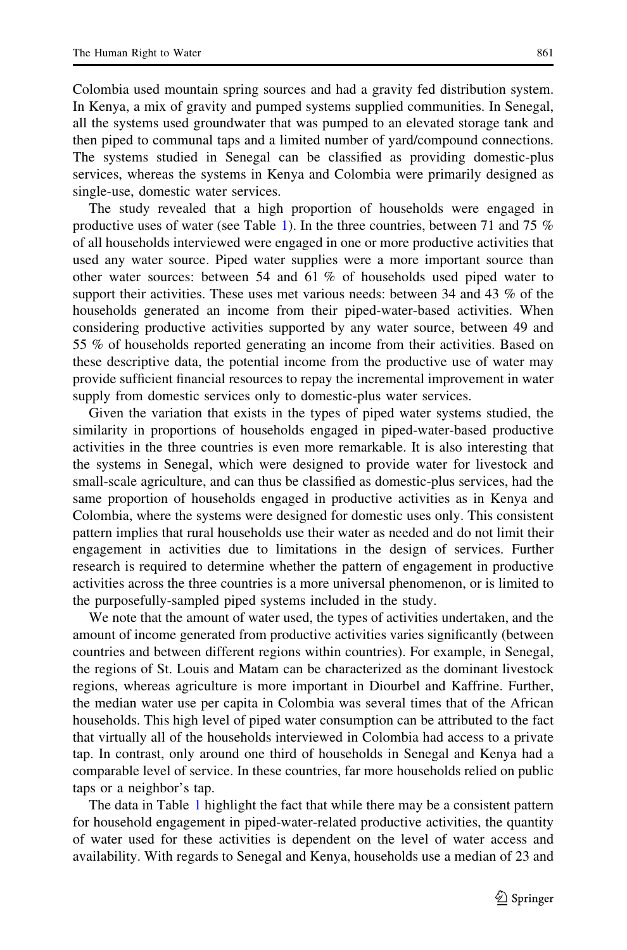single-use, domestic water services.

Colombia used mountain spring sources and had a gravity fed distribution system. In Kenya, a mix of gravity and pumped systems supplied communities. In Senegal, all the systems used groundwater that was pumped to an elevated storage tank and then piped to communal taps and a limited number of yard/compound connections. The systems studied in Senegal can be classified as providing domestic-plus services, whereas the systems in Kenya and Colombia were primarily designed as

The study revealed that a high proportion of households were engaged in productive uses of water (see Table [1](#page-13-0)). In the three countries, between 71 and 75 % of all households interviewed were engaged in one or more productive activities that used any water source. Piped water supplies were a more important source than other water sources: between 54 and 61 % of households used piped water to support their activities. These uses met various needs: between 34 and 43 % of the households generated an income from their piped-water-based activities. When considering productive activities supported by any water source, between 49 and 55 % of households reported generating an income from their activities. Based on these descriptive data, the potential income from the productive use of water may provide sufficient financial resources to repay the incremental improvement in water supply from domestic services only to domestic-plus water services.

Given the variation that exists in the types of piped water systems studied, the similarity in proportions of households engaged in piped-water-based productive activities in the three countries is even more remarkable. It is also interesting that the systems in Senegal, which were designed to provide water for livestock and small-scale agriculture, and can thus be classified as domestic-plus services, had the same proportion of households engaged in productive activities as in Kenya and Colombia, where the systems were designed for domestic uses only. This consistent pattern implies that rural households use their water as needed and do not limit their engagement in activities due to limitations in the design of services. Further research is required to determine whether the pattern of engagement in productive activities across the three countries is a more universal phenomenon, or is limited to the purposefully-sampled piped systems included in the study.

We note that the amount of water used, the types of activities undertaken, and the amount of income generated from productive activities varies significantly (between countries and between different regions within countries). For example, in Senegal, the regions of St. Louis and Matam can be characterized as the dominant livestock regions, whereas agriculture is more important in Diourbel and Kaffrine. Further, the median water use per capita in Colombia was several times that of the African households. This high level of piped water consumption can be attributed to the fact that virtually all of the households interviewed in Colombia had access to a private tap. In contrast, only around one third of households in Senegal and Kenya had a comparable level of service. In these countries, far more households relied on public taps or a neighbor's tap.

The data in Table [1](#page-13-0) highlight the fact that while there may be a consistent pattern for household engagement in piped-water-related productive activities, the quantity of water used for these activities is dependent on the level of water access and availability. With regards to Senegal and Kenya, households use a median of 23 and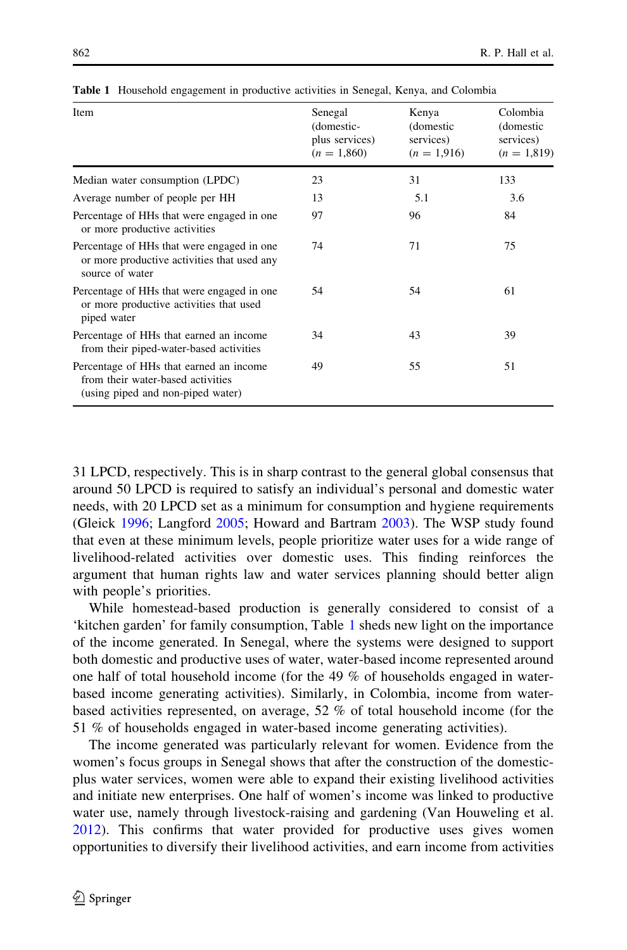| Item                                                                                                              | Senegal<br>(domestic-<br>plus services)<br>$(n = 1,860)$ | Kenya<br>(domestic<br>services)<br>$(n = 1,916)$ | Colombia<br>(domestic<br>services)<br>$(n = 1,819)$ |
|-------------------------------------------------------------------------------------------------------------------|----------------------------------------------------------|--------------------------------------------------|-----------------------------------------------------|
| Median water consumption (LPDC)                                                                                   | 23                                                       | 31                                               | 133                                                 |
| Average number of people per HH                                                                                   | 13                                                       | 5.1                                              | 3.6                                                 |
| Percentage of HHs that were engaged in one<br>or more productive activities                                       | 97                                                       | 96                                               | 84                                                  |
| Percentage of HHs that were engaged in one<br>or more productive activities that used any<br>source of water      | 74                                                       | 71                                               | 75                                                  |
| Percentage of HHs that were engaged in one.<br>or more productive activities that used<br>piped water             | 54                                                       | 54                                               | 61                                                  |
| Percentage of HHs that earned an income<br>from their piped-water-based activities                                | 34                                                       | 43                                               | 39                                                  |
| Percentage of HHs that earned an income<br>from their water-based activities<br>(using piped and non-piped water) | 49                                                       | 55                                               | 51                                                  |

<span id="page-13-0"></span>Table 1 Household engagement in productive activities in Senegal, Kenya, and Colombia

31 LPCD, respectively. This is in sharp contrast to the general global consensus that around 50 LPCD is required to satisfy an individual's personal and domestic water needs, with 20 LPCD set as a minimum for consumption and hygiene requirements (Gleick [1996;](#page-16-0) Langford [2005](#page-17-0); Howard and Bartram [2003\)](#page-17-0). The WSP study found that even at these minimum levels, people prioritize water uses for a wide range of livelihood-related activities over domestic uses. This finding reinforces the argument that human rights law and water services planning should better align with people's priorities.

While homestead-based production is generally considered to consist of a 'kitchen garden' for family consumption, Table 1 sheds new light on the importance of the income generated. In Senegal, where the systems were designed to support both domestic and productive uses of water, water-based income represented around one half of total household income (for the 49 % of households engaged in waterbased income generating activities). Similarly, in Colombia, income from waterbased activities represented, on average, 52 % of total household income (for the 51 % of households engaged in water-based income generating activities).

The income generated was particularly relevant for women. Evidence from the women's focus groups in Senegal shows that after the construction of the domesticplus water services, women were able to expand their existing livelihood activities and initiate new enterprises. One half of women's income was linked to productive water use, namely through livestock-raising and gardening (Van Houweling et al. [2012\)](#page-18-0). This confirms that water provided for productive uses gives women opportunities to diversify their livelihood activities, and earn income from activities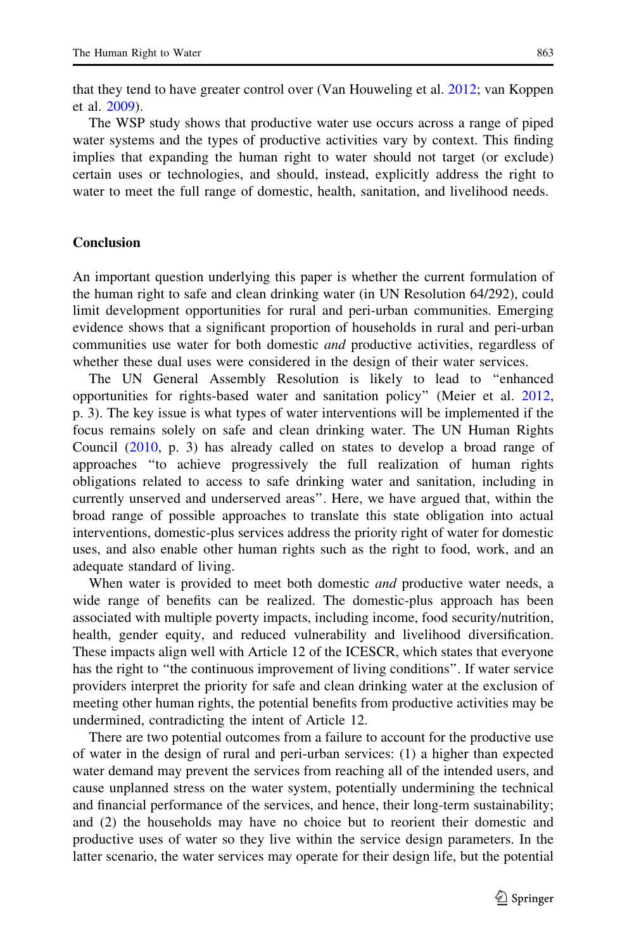that they tend to have greater control over (Van Houweling et al. [2012](#page-18-0); van Koppen et al. [2009\)](#page-18-0).

The WSP study shows that productive water use occurs across a range of piped water systems and the types of productive activities vary by context. This finding implies that expanding the human right to water should not target (or exclude) certain uses or technologies, and should, instead, explicitly address the right to water to meet the full range of domestic, health, sanitation, and livelihood needs.

#### Conclusion

An important question underlying this paper is whether the current formulation of the human right to safe and clean drinking water (in UN Resolution 64/292), could limit development opportunities for rural and peri-urban communities. Emerging evidence shows that a significant proportion of households in rural and peri-urban communities use water for both domestic *and* productive activities, regardless of whether these dual uses were considered in the design of their water services.

The UN General Assembly Resolution is likely to lead to ''enhanced opportunities for rights-based water and sanitation policy'' (Meier et al. [2012,](#page-17-0) p. 3). The key issue is what types of water interventions will be implemented if the focus remains solely on safe and clean drinking water. The UN Human Rights Council ([2010,](#page-18-0) p. 3) has already called on states to develop a broad range of approaches ''to achieve progressively the full realization of human rights obligations related to access to safe drinking water and sanitation, including in currently unserved and underserved areas''. Here, we have argued that, within the broad range of possible approaches to translate this state obligation into actual interventions, domestic-plus services address the priority right of water for domestic uses, and also enable other human rights such as the right to food, work, and an adequate standard of living.

When water is provided to meet both domestic *and* productive water needs, a wide range of benefits can be realized. The domestic-plus approach has been associated with multiple poverty impacts, including income, food security/nutrition, health, gender equity, and reduced vulnerability and livelihood diversification. These impacts align well with Article 12 of the ICESCR, which states that everyone has the right to "the continuous improvement of living conditions". If water service providers interpret the priority for safe and clean drinking water at the exclusion of meeting other human rights, the potential benefits from productive activities may be undermined, contradicting the intent of Article 12.

There are two potential outcomes from a failure to account for the productive use of water in the design of rural and peri-urban services: (1) a higher than expected water demand may prevent the services from reaching all of the intended users, and cause unplanned stress on the water system, potentially undermining the technical and financial performance of the services, and hence, their long-term sustainability; and (2) the households may have no choice but to reorient their domestic and productive uses of water so they live within the service design parameters. In the latter scenario, the water services may operate for their design life, but the potential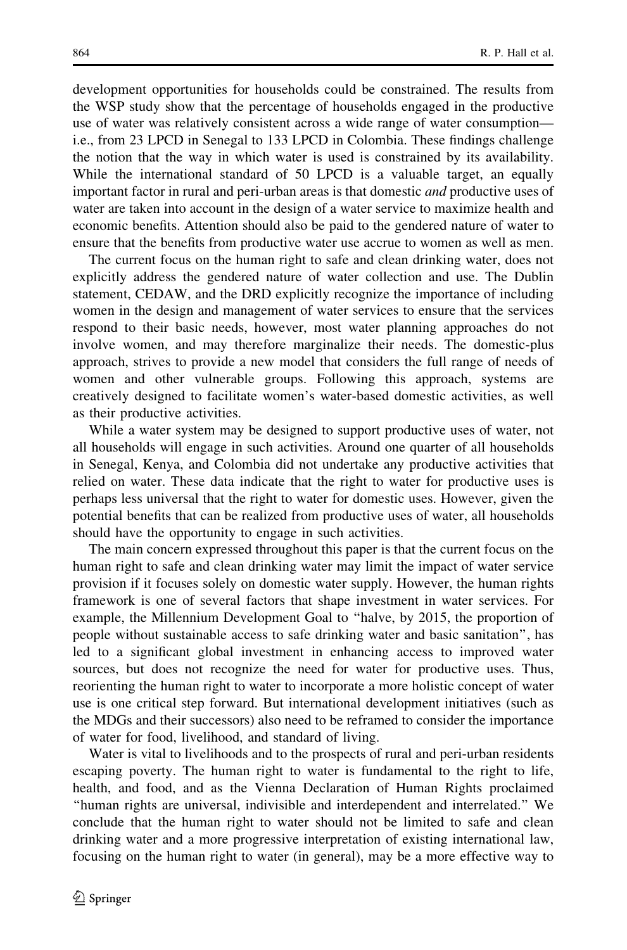development opportunities for households could be constrained. The results from the WSP study show that the percentage of households engaged in the productive use of water was relatively consistent across a wide range of water consumption i.e., from 23 LPCD in Senegal to 133 LPCD in Colombia. These findings challenge the notion that the way in which water is used is constrained by its availability. While the international standard of 50 LPCD is a valuable target, an equally important factor in rural and peri-urban areas is that domestic and productive uses of water are taken into account in the design of a water service to maximize health and economic benefits. Attention should also be paid to the gendered nature of water to ensure that the benefits from productive water use accrue to women as well as men.

The current focus on the human right to safe and clean drinking water, does not explicitly address the gendered nature of water collection and use. The Dublin statement, CEDAW, and the DRD explicitly recognize the importance of including women in the design and management of water services to ensure that the services respond to their basic needs, however, most water planning approaches do not involve women, and may therefore marginalize their needs. The domestic-plus approach, strives to provide a new model that considers the full range of needs of women and other vulnerable groups. Following this approach, systems are creatively designed to facilitate women's water-based domestic activities, as well as their productive activities.

While a water system may be designed to support productive uses of water, not all households will engage in such activities. Around one quarter of all households in Senegal, Kenya, and Colombia did not undertake any productive activities that relied on water. These data indicate that the right to water for productive uses is perhaps less universal that the right to water for domestic uses. However, given the potential benefits that can be realized from productive uses of water, all households should have the opportunity to engage in such activities.

The main concern expressed throughout this paper is that the current focus on the human right to safe and clean drinking water may limit the impact of water service provision if it focuses solely on domestic water supply. However, the human rights framework is one of several factors that shape investment in water services. For example, the Millennium Development Goal to ''halve, by 2015, the proportion of people without sustainable access to safe drinking water and basic sanitation'', has led to a significant global investment in enhancing access to improved water sources, but does not recognize the need for water for productive uses. Thus, reorienting the human right to water to incorporate a more holistic concept of water use is one critical step forward. But international development initiatives (such as the MDGs and their successors) also need to be reframed to consider the importance of water for food, livelihood, and standard of living.

Water is vital to livelihoods and to the prospects of rural and peri-urban residents escaping poverty. The human right to water is fundamental to the right to life, health, and food, and as the Vienna Declaration of Human Rights proclaimed ''human rights are universal, indivisible and interdependent and interrelated.'' We conclude that the human right to water should not be limited to safe and clean drinking water and a more progressive interpretation of existing international law, focusing on the human right to water (in general), may be a more effective way to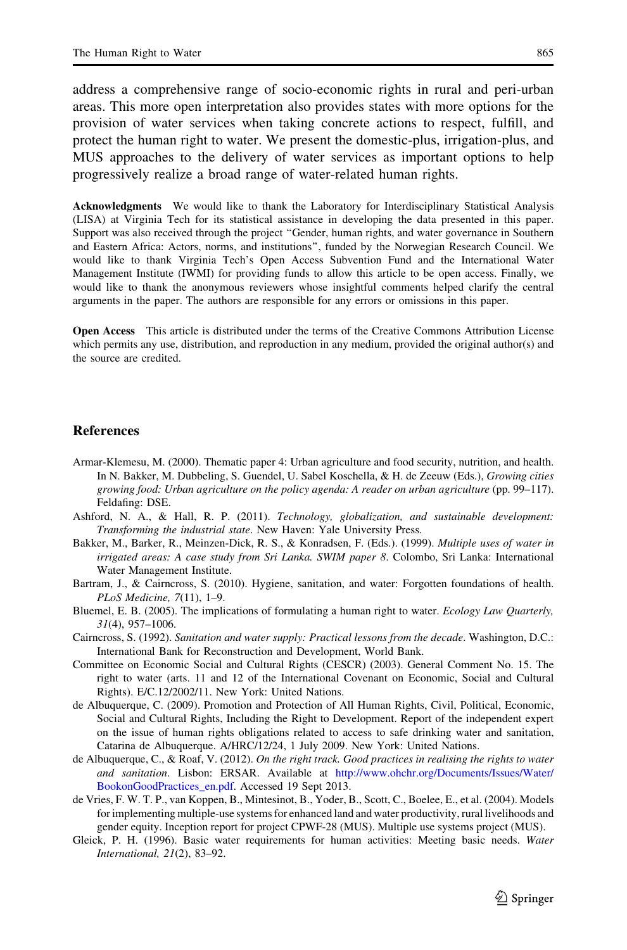<span id="page-16-0"></span>address a comprehensive range of socio-economic rights in rural and peri-urban areas. This more open interpretation also provides states with more options for the provision of water services when taking concrete actions to respect, fulfill, and protect the human right to water. We present the domestic-plus, irrigation-plus, and MUS approaches to the delivery of water services as important options to help progressively realize a broad range of water-related human rights.

Acknowledgments We would like to thank the Laboratory for Interdisciplinary Statistical Analysis (LISA) at Virginia Tech for its statistical assistance in developing the data presented in this paper. Support was also received through the project ''Gender, human rights, and water governance in Southern and Eastern Africa: Actors, norms, and institutions'', funded by the Norwegian Research Council. We would like to thank Virginia Tech's Open Access Subvention Fund and the International Water Management Institute (IWMI) for providing funds to allow this article to be open access. Finally, we would like to thank the anonymous reviewers whose insightful comments helped clarify the central arguments in the paper. The authors are responsible for any errors or omissions in this paper.

Open Access This article is distributed under the terms of the Creative Commons Attribution License which permits any use, distribution, and reproduction in any medium, provided the original author(s) and the source are credited.

#### References

- Armar-Klemesu, M. (2000). Thematic paper 4: Urban agriculture and food security, nutrition, and health. In N. Bakker, M. Dubbeling, S. Guendel, U. Sabel Koschella, & H. de Zeeuw (Eds.), Growing cities growing food: Urban agriculture on the policy agenda: A reader on urban agriculture (pp. 99–117). Feldafing: DSE.
- Ashford, N. A., & Hall, R. P. (2011). Technology, globalization, and sustainable development: Transforming the industrial state. New Haven: Yale University Press.
- Bakker, M., Barker, R., Meinzen-Dick, R. S., & Konradsen, F. (Eds.). (1999). Multiple uses of water in irrigated areas: A case study from Sri Lanka. SWIM paper 8. Colombo, Sri Lanka: International Water Management Institute.
- Bartram, J., & Cairncross, S. (2010). Hygiene, sanitation, and water: Forgotten foundations of health. PLoS Medicine, 7(11), 1–9.
- Bluemel, E. B. (2005). The implications of formulating a human right to water. Ecology Law Quarterly, 31(4), 957–1006.
- Cairncross, S. (1992). Sanitation and water supply: Practical lessons from the decade. Washington, D.C.: International Bank for Reconstruction and Development, World Bank.
- Committee on Economic Social and Cultural Rights (CESCR) (2003). General Comment No. 15. The right to water (arts. 11 and 12 of the International Covenant on Economic, Social and Cultural Rights). E/C.12/2002/11. New York: United Nations.
- de Albuquerque, C. (2009). Promotion and Protection of All Human Rights, Civil, Political, Economic, Social and Cultural Rights, Including the Right to Development. Report of the independent expert on the issue of human rights obligations related to access to safe drinking water and sanitation, Catarina de Albuquerque. A/HRC/12/24, 1 July 2009. New York: United Nations.
- de Albuquerque, C., & Roaf, V. (2012). On the right track. Good practices in realising the rights to water and sanitation. Lisbon: ERSAR. Available at [http://www.ohchr.org/Documents/Issues/Water/](http://www.ohchr.org/Documents/Issues/Water/BookonGoodPractices_en.pdf) [BookonGoodPractices\\_en.pdf.](http://www.ohchr.org/Documents/Issues/Water/BookonGoodPractices_en.pdf) Accessed 19 Sept 2013.
- de Vries, F. W. T. P., van Koppen, B., Mintesinot, B., Yoder, B., Scott, C., Boelee, E., et al. (2004). Models for implementing multiple-use systems for enhanced land and water productivity, rural livelihoods and gender equity. Inception report for project CPWF-28 (MUS). Multiple use systems project (MUS).
- Gleick, P. H. (1996). Basic water requirements for human activities: Meeting basic needs. Water International, 21(2), 83–92.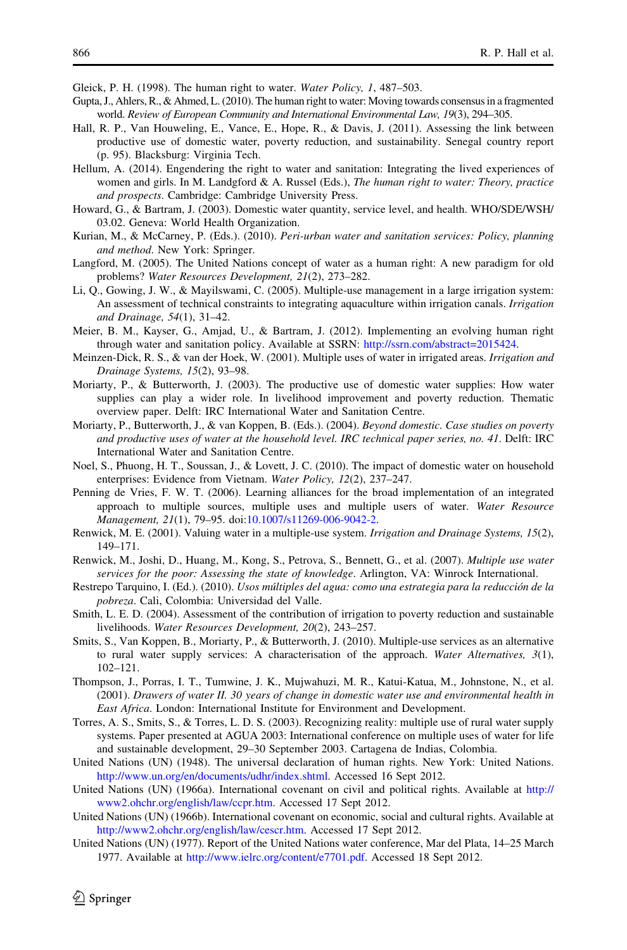<span id="page-17-0"></span>Gleick, P. H. (1998). The human right to water. Water Policy, 1, 487–503.

- Gupta, J., Ahlers, R., & Ahmed, L. (2010). The human right to water: Moving towards consensus in a fragmented world. Review of European Community and International Environmental Law, 19(3), 294–305.
- Hall, R. P., Van Houweling, E., Vance, E., Hope, R., & Davis, J. (2011). Assessing the link between productive use of domestic water, poverty reduction, and sustainability. Senegal country report (p. 95). Blacksburg: Virginia Tech.
- Hellum, A. (2014). Engendering the right to water and sanitation: Integrating the lived experiences of women and girls. In M. Landgford & A. Russel (Eds.), The human right to water: Theory, practice and prospects. Cambridge: Cambridge University Press.
- Howard, G., & Bartram, J. (2003). Domestic water quantity, service level, and health. WHO/SDE/WSH/ 03.02. Geneva: World Health Organization.
- Kurian, M., & McCarney, P. (Eds.). (2010). Peri-urban water and sanitation services: Policy, planning and method. New York: Springer.
- Langford, M. (2005). The United Nations concept of water as a human right: A new paradigm for old problems? Water Resources Development, 21(2), 273–282.
- Li, Q., Gowing, J. W., & Mayilswami, C. (2005). Multiple-use management in a large irrigation system: An assessment of technical constraints to integrating aquaculture within irrigation canals. Irrigation and Drainage, 54(1), 31–42.
- Meier, B. M., Kayser, G., Amjad, U., & Bartram, J. (2012). Implementing an evolving human right through water and sanitation policy. Available at SSRN: <http://ssrn.com/abstract=2015424>.
- Meinzen-Dick, R. S., & van der Hoek, W. (2001). Multiple uses of water in irrigated areas. Irrigation and Drainage Systems, 15(2), 93–98.
- Moriarty, P., & Butterworth, J. (2003). The productive use of domestic water supplies: How water supplies can play a wider role. In livelihood improvement and poverty reduction. Thematic overview paper. Delft: IRC International Water and Sanitation Centre.
- Moriarty, P., Butterworth, J., & van Koppen, B. (Eds.). (2004). Beyond domestic. Case studies on poverty and productive uses of water at the household level. IRC technical paper series, no. 41. Delft: IRC International Water and Sanitation Centre.
- Noel, S., Phuong, H. T., Soussan, J., & Lovett, J. C. (2010). The impact of domestic water on household enterprises: Evidence from Vietnam. Water Policy, 12(2), 237–247.
- Penning de Vries, F. W. T. (2006). Learning alliances for the broad implementation of an integrated approach to multiple sources, multiple uses and multiple users of water. Water Resource Management, 21(1), 79–95. doi[:10.1007/s11269-006-9042-2.](http://dx.doi.org/10.1007/s11269-006-9042-2)
- Renwick, M. E. (2001). Valuing water in a multiple-use system. Irrigation and Drainage Systems, 15(2), 149–171.
- Renwick, M., Joshi, D., Huang, M., Kong, S., Petrova, S., Bennett, G., et al. (2007). Multiple use water services for the poor: Assessing the state of knowledge. Arlington, VA: Winrock International.
- Restrepo Tarquino, I. (Ed.). (2010). Usos múltiples del agua: como una estrategia para la reducción de la pobreza. Cali, Colombia: Universidad del Valle.
- Smith, L. E. D. (2004). Assessment of the contribution of irrigation to poverty reduction and sustainable livelihoods. Water Resources Development, 20(2), 243–257.
- Smits, S., Van Koppen, B., Moriarty, P., & Butterworth, J. (2010). Multiple-use services as an alternative to rural water supply services: A characterisation of the approach. Water Alternatives,  $3(1)$ , 102–121.
- Thompson, J., Porras, I. T., Tumwine, J. K., Mujwahuzi, M. R., Katui-Katua, M., Johnstone, N., et al. (2001). Drawers of water II. 30 years of change in domestic water use and environmental health in East Africa. London: International Institute for Environment and Development.
- Torres, A. S., Smits, S., & Torres, L. D. S. (2003). Recognizing reality: multiple use of rural water supply systems. Paper presented at AGUA 2003: International conference on multiple uses of water for life and sustainable development, 29–30 September 2003. Cartagena de Indias, Colombia.
- United Nations (UN) (1948). The universal declaration of human rights. New York: United Nations. [http://www.un.org/en/documents/udhr/index.shtml.](http://www.un.org/en/documents/udhr/index.shtml) Accessed 16 Sept 2012.
- United Nations (UN) (1966a). International covenant on civil and political rights. Available at [http://](http://www2.ohchr.org/english/law/ccpr.htm) [www2.ohchr.org/english/law/ccpr.htm](http://www2.ohchr.org/english/law/ccpr.htm). Accessed 17 Sept 2012.
- United Nations (UN) (1966b). International covenant on economic, social and cultural rights. Available at [http://www2.ohchr.org/english/law/cescr.htm.](http://www2.ohchr.org/english/law/cescr.htm) Accessed 17 Sept 2012.
- United Nations (UN) (1977). Report of the United Nations water conference, Mar del Plata, 14–25 March 1977. Available at [http://www.ielrc.org/content/e7701.pdf.](http://www.ielrc.org/content/e7701.pdf) Accessed 18 Sept 2012.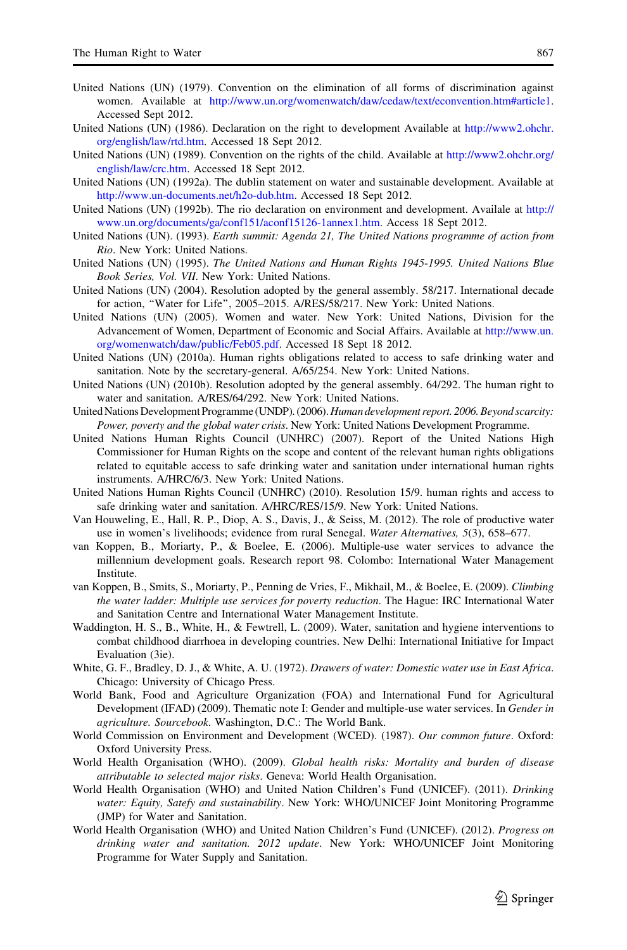- <span id="page-18-0"></span>United Nations (UN) (1979). Convention on the elimination of all forms of discrimination against women. Available at <http://www.un.org/womenwatch/daw/cedaw/text/econvention.htm#article1>. Accessed Sept 2012.
- United Nations (UN) (1986). Declaration on the right to development Available at [http://www2.ohchr.](http://www2.ohchr.org/english/law/rtd.htm) [org/english/law/rtd.htm](http://www2.ohchr.org/english/law/rtd.htm). Accessed 18 Sept 2012.
- United Nations (UN) (1989). Convention on the rights of the child. Available at [http://www2.ohchr.org/](http://www2.ohchr.org/english/law/crc.htm) [english/law/crc.htm](http://www2.ohchr.org/english/law/crc.htm). Accessed 18 Sept 2012.
- United Nations (UN) (1992a). The dublin statement on water and sustainable development. Available at <http://www.un-documents.net/h2o-dub.htm>. Accessed 18 Sept 2012.
- United Nations (UN) (1992b). The rio declaration on environment and development. Availale at [http://](http://www.un.org/documents/ga/conf151/aconf15126-1annex1.htm) [www.un.org/documents/ga/conf151/aconf15126-1annex1.htm](http://www.un.org/documents/ga/conf151/aconf15126-1annex1.htm). Access 18 Sept 2012.
- United Nations (UN). (1993). Earth summit: Agenda 21, The United Nations programme of action from Rio. New York: United Nations.
- United Nations (UN) (1995). The United Nations and Human Rights 1945-1995. United Nations Blue Book Series, Vol. VII. New York: United Nations.
- United Nations (UN) (2004). Resolution adopted by the general assembly. 58/217. International decade for action, ''Water for Life'', 2005–2015. A/RES/58/217. New York: United Nations.
- United Nations (UN) (2005). Women and water. New York: United Nations, Division for the Advancement of Women, Department of Economic and Social Affairs. Available at [http://www.un.](http://www.un.org/womenwatch/daw/public/Feb05.pdf) [org/womenwatch/daw/public/Feb05.pdf.](http://www.un.org/womenwatch/daw/public/Feb05.pdf) Accessed 18 Sept 18 2012.
- United Nations (UN) (2010a). Human rights obligations related to access to safe drinking water and sanitation. Note by the secretary-general. A/65/254. New York: United Nations.
- United Nations (UN) (2010b). Resolution adopted by the general assembly. 64/292. The human right to water and sanitation. A/RES/64/292. New York: United Nations.
- United Nations Development Programme (UNDP). (2006). Human development report. 2006. Beyond scarcity: Power, poverty and the global water crisis. New York: United Nations Development Programme.
- United Nations Human Rights Council (UNHRC) (2007). Report of the United Nations High Commissioner for Human Rights on the scope and content of the relevant human rights obligations related to equitable access to safe drinking water and sanitation under international human rights instruments. A/HRC/6/3. New York: United Nations.
- United Nations Human Rights Council (UNHRC) (2010). Resolution 15/9. human rights and access to safe drinking water and sanitation. A/HRC/RES/15/9. New York: United Nations.
- Van Houweling, E., Hall, R. P., Diop, A. S., Davis, J., & Seiss, M. (2012). The role of productive water use in women's livelihoods; evidence from rural Senegal. Water Alternatives, 5(3), 658–677.
- van Koppen, B., Moriarty, P., & Boelee, E. (2006). Multiple-use water services to advance the millennium development goals. Research report 98. Colombo: International Water Management Institute.
- van Koppen, B., Smits, S., Moriarty, P., Penning de Vries, F., Mikhail, M., & Boelee, E. (2009). Climbing the water ladder: Multiple use services for poverty reduction. The Hague: IRC International Water and Sanitation Centre and International Water Management Institute.
- Waddington, H. S., B., White, H., & Fewtrell, L. (2009). Water, sanitation and hygiene interventions to combat childhood diarrhoea in developing countries. New Delhi: International Initiative for Impact Evaluation (3ie).
- White, G. F., Bradley, D. J., & White, A. U. (1972). Drawers of water: Domestic water use in East Africa. Chicago: University of Chicago Press.
- World Bank, Food and Agriculture Organization (FOA) and International Fund for Agricultural Development (IFAD) (2009). Thematic note I: Gender and multiple-use water services. In Gender in agriculture. Sourcebook. Washington, D.C.: The World Bank.
- World Commission on Environment and Development (WCED). (1987). Our common future. Oxford: Oxford University Press.
- World Health Organisation (WHO). (2009). Global health risks: Mortality and burden of disease attributable to selected major risks. Geneva: World Health Organisation.
- World Health Organisation (WHO) and United Nation Children's Fund (UNICEF). (2011). Drinking water: Equity, Satefy and sustainability. New York: WHO/UNICEF Joint Monitoring Programme (JMP) for Water and Sanitation.
- World Health Organisation (WHO) and United Nation Children's Fund (UNICEF). (2012). Progress on drinking water and sanitation. 2012 update. New York: WHO/UNICEF Joint Monitoring Programme for Water Supply and Sanitation.